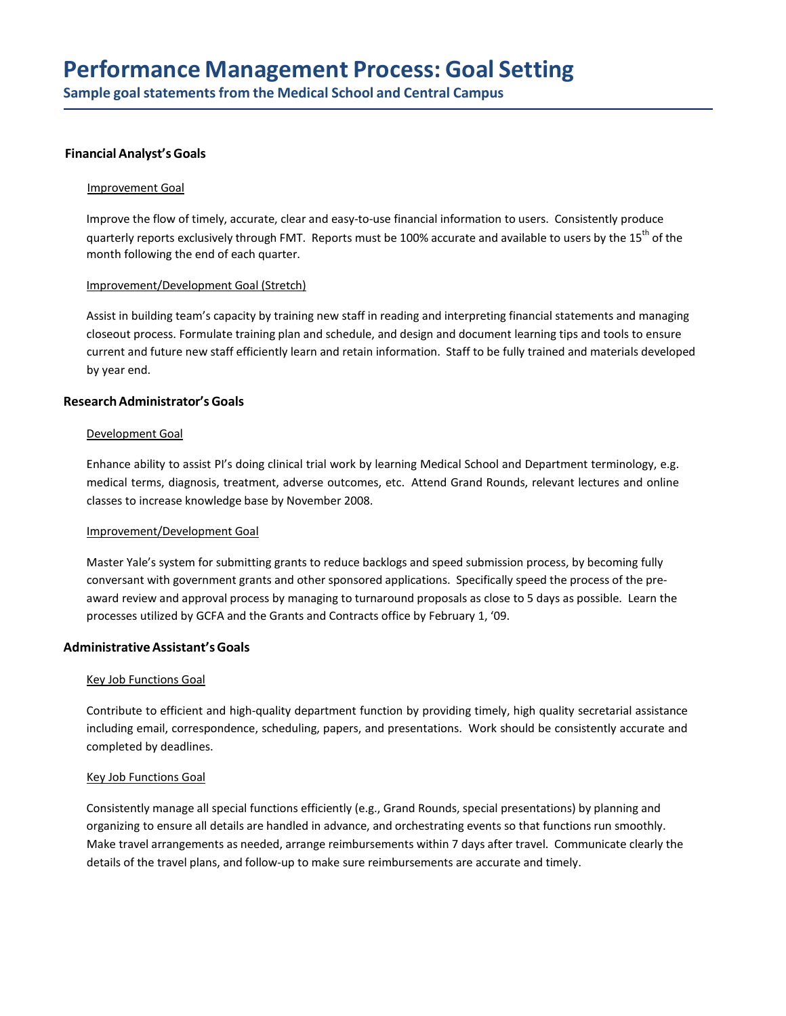**Sample goalstatements from the Medical School and Central Campus**

# **Financial Analyst'sGoals**

#### Improvement Goal

Improve the flow of timely, accurate, clear and easy‐to‐use financial information to users. Consistently produce quarterly reports exclusively through FMT. Reports must be 100% accurate and available to users by the 15<sup>th</sup> of the month following the end of each quarter.

#### Improvement/Development Goal (Stretch)

Assist in building team's capacity by training new staff in reading and interpreting financial statements and managing closeout process. Formulate training plan and schedule, and design and document learning tips and tools to ensure current and future new staff efficiently learn and retain information. Staff to be fully trained and materials developed by year end.

# **ResearchAdministrator'sGoals**

## Development Goal

Enhance ability to assist PI's doing clinical trial work by learning Medical School and Department terminology, e.g. medical terms, diagnosis, treatment, adverse outcomes, etc. Attend Grand Rounds, relevant lectures and online classes to increase knowledge base by November 2008.

## Improvement/Development Goal

Master Yale's system for submitting grants to reduce backlogs and speed submission process, by becoming fully conversant with government grants and other sponsored applications. Specifically speed the process of the pre‐ award review and approval process by managing to turnaround proposals as close to 5 days as possible. Learn the processes utilized by GCFA and the Grants and Contracts office by February 1, '09.

# **AdministrativeAssistant'sGoals**

#### Key Job Functions Goal

Contribute to efficient and high-quality department function by providing timely, high quality secretarial assistance including email, correspondence, scheduling, papers, and presentations. Work should be consistently accurate and completed by deadlines.

## Key Job Functions Goal

Consistently manage all special functions efficiently (e.g., Grand Rounds, special presentations) by planning and organizing to ensure all details are handled in advance, and orchestrating events so that functions run smoothly. Make travel arrangements as needed, arrange reimbursements within 7 days after travel. Communicate clearly the details of the travel plans, and follow‐up to make sure reimbursements are accurate and timely.